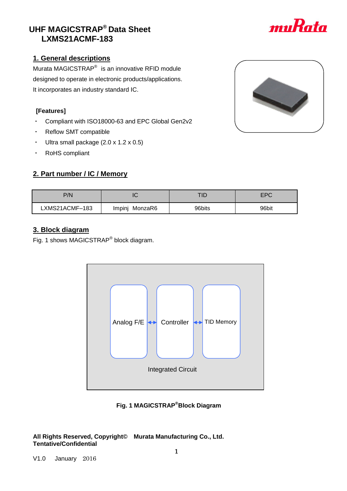## V1.0 January 2016

## **UHF MAGICSTRAP® Data Sheet LXMS21ACMF-183**

## **1. General descriptions**

Murata MAGICSTRAP<sup>®</sup> is an innovative RFID module designed to operate in electronic products/applications. It incorporates an industry standard IC.

### **[Features]**

- ・ Compliant with ISO18000-63 and EPC Global Gen2v2
- ・ Reflow SMT compatible
- Ultra small package  $(2.0 \times 1.2 \times 0.5)$
- ・ RoHS compliant

## **2. Part number / IC / Memory**

| P/N            |                |        | EPC   |
|----------------|----------------|--------|-------|
| LXMS21ACMF-183 | Impinj MonzaR6 | 96bits | 96bit |
|                |                |        |       |

## **3. Block diagram**

Fig. 1 shows MAGICSTRAP<sup>®</sup> block diagram.



**Fig. 1 MAGICSTRAP®Block Diagram**

**All Rights Reserved, Copyright© Murata Manufacturing Co., Ltd. Tentative/Confidential**



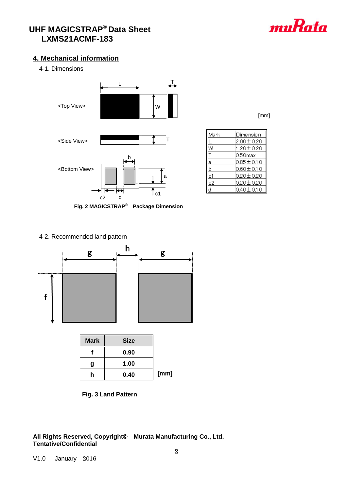

## **4. Mechanical information**

4-1. Dimensions



| Dimension               |
|-------------------------|
| $\overline{00\pm}$ 0.20 |
| 0±0.2                   |
| mav                     |

[mm]

| $0.85 \pm 0.10$<br>а  |
|-----------------------|
|                       |
| $0.60 \pm 0.10$<br>b  |
| $0.20 \pm 0.20$<br>c1 |
| $0.20 \pm 0.20$<br>c2 |
| lo.40±0.10<br>d       |

Mark  $\overline{L}$ W Ξ

4-2. Recommended land pattern



| <b>Mark</b> | <b>Size</b> |      |
|-------------|-------------|------|
|             | 0.90        |      |
| g           | 1.00        |      |
|             | 0.40        | [mm] |



**All Rights Reserved, Copyright© Murata Manufacturing Co., Ltd. Tentative/Confidential**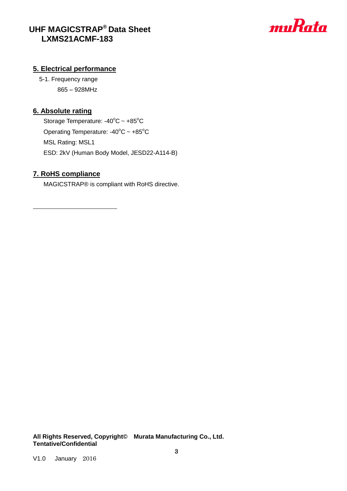

### **5. Electrical performance**

5-1. Frequency range 865 – 928MHz

## **6. Absolute rating**

Storage Temperature:  $-40^{\circ}$ C ~  $+85^{\circ}$ C Operating Temperature:  $-40^{\circ}$ C ~  $+85^{\circ}$ C MSL Rating: MSL1 ESD: 2kV (Human Body Model, JESD22-A114-B)

### **7. RoHS compliance**

MAGICSTRAP® is compliant with RoHS directive.

**All Rights Reserved, Copyright© Murata Manufacturing Co., Ltd. Tentative/Confidential**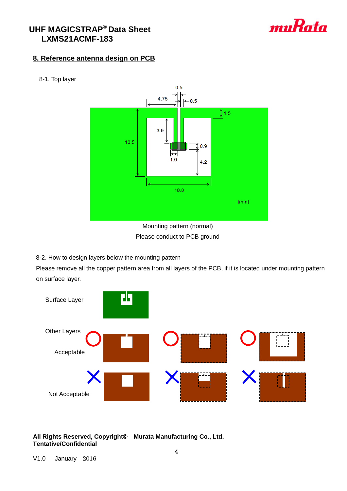

## **8. Reference antenna design on PCB**



8-1. Top layer

Please conduct to PCB ground

8-2. How to design layers below the mounting pattern

Please remove all the copper pattern area from all layers of the PCB, if it is located under mounting pattern on surface layer.



**All Rights Reserved, Copyright© Murata Manufacturing Co., Ltd. Tentative/Confidential**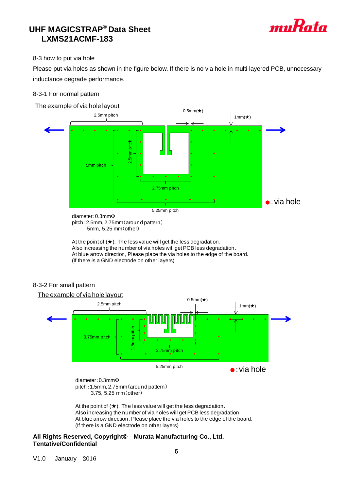

#### 8-3 how to put via hole

Please put via holes as shown in the figure below. If there is no via hole in multi layered PCB, unnecessary inductance degrade performance.

#### 8-3-1 For normal pattern





5.25mm pitch

diameter:0.3mmΦ pitch:2.5mm, 2.75mm(around pattern) 5mm, 5.25 mm(other)

At the point of  $(\star)$ , The less value will get the less degradation. Also increasing the number of via holes will get PCB less degradation. At blue arrow direction, Please place the via holes to the edge of the board. (If there is a GND electrode on other layers)

#### 8-3-2 For small pattern

The example of via hole layout



diameter:0.3mmΦ pitch:1.5mm, 2.75mm(around pattern) 3.75, 5.25 mm(other)

At the point of  $(\star)$ . The less value will get the less degradation. Also increasing the number of via holes will get PCB less degradation. At blue arrow direction, Please place the via holes to the edge of the board.

#### **All Rights Reserved, Copyright© Murata Manufacturing Co., Ltd. Tentative/Confidential**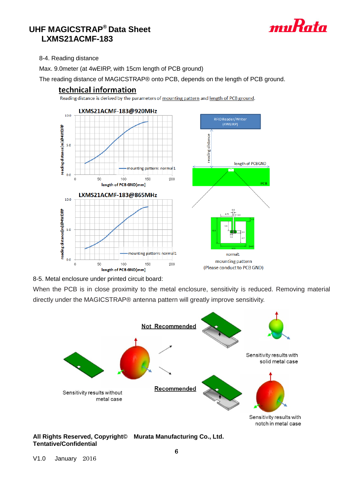

8-4. Reading distance

Max. 9.0meter (at 4wEIRP, with 15cm length of PCB ground)

The reading distance of MAGICSTRAP® onto PCB, depends on the length of PCB ground.

RFID Reader/Writer  $(4WEIRP)$ 

normal1

mounting pattern

(Please conduct to PCB GND)

length of PCBGND

PCB

reading distance





Reading distance is derived by the parameters of mounting pattern and length of PCB ground.

8-5. Metal enclosure under printed circuit board:

When the PCB is in close proximity to the metal enclosure, sensitivity is reduced. Removing material directly under the MAGICSTRAP® antenna pattern will greatly improve sensitivity.



**All Rights Reserved, Copyright© Murata Manufacturing Co., Ltd. Tentative/Confidential**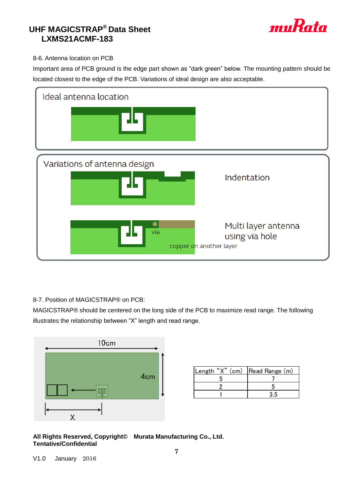

### 8-6. Antenna location on PCB

Important area of PCB ground is the edge part shown as "dark green" below. The mounting pattern should be located closest to the edge of the PCB. Variations of ideal design are also acceptable.



### 8-7. Position of MAGICSTRAP® on PCB:

MAGICSTRAP® should be centered on the long side of the PCB to maximize read range. The following illustrates the relationship between "X" length and read range.



| Length "X" (cm) Read Range (m) |  |
|--------------------------------|--|
|                                |  |
|                                |  |
|                                |  |

**All Rights Reserved, Copyright© Murata Manufacturing Co., Ltd. Tentative/Confidential**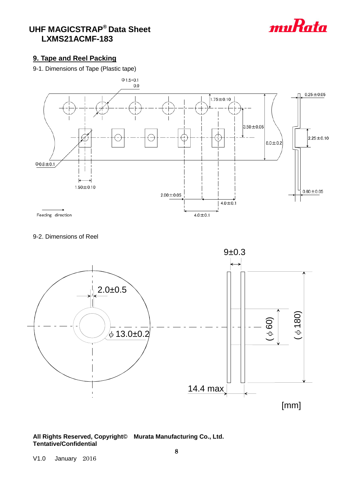

## **9. Tape and Reel Packing**

### 9-1. Dimensions of Tape (Plastic tape)







#### **All Rights Reserved, Copyright© Murata Manufacturing Co., Ltd. Tentative/Confidential**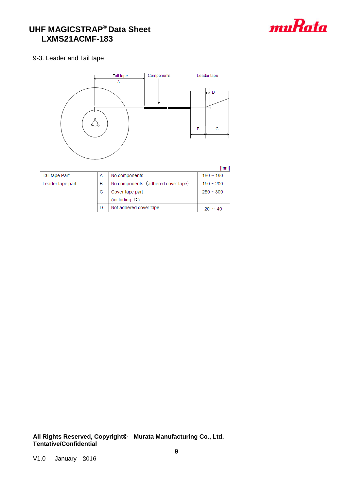

#### 9-3. Leader and Tail tape



|                  |   |                                    | [mm]        |
|------------------|---|------------------------------------|-------------|
| Tail tape Part   | А | No components                      | $160 - 190$ |
| Leader tape part | в | No components (adhered cover tape) | $150 - 200$ |
|                  | С | Cover tape part                    | $250 - 300$ |
|                  |   | (including D)                      |             |
|                  |   | Not adhered cover tape             | $~10^{-4}$  |

**All Rights Reserved, Copyright© Murata Manufacturing Co., Ltd. Tentative/Confidential**